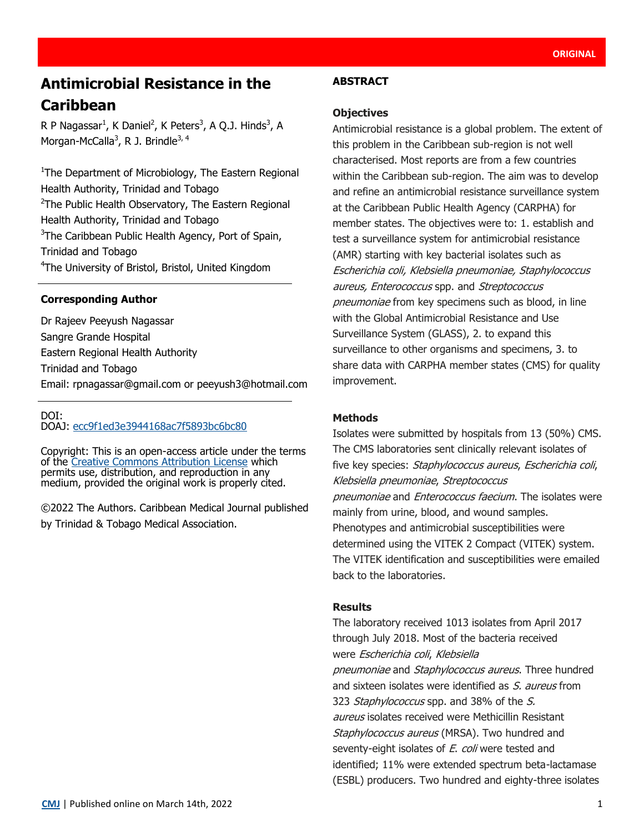# **Antimicrobial Resistance in the Caribbean**

R P Nagassar<sup>1</sup>, K Daniel<sup>2</sup>, K Peters<sup>3</sup>, A Q.J. Hinds<sup>3</sup>, A Morgan-McCalla<sup>3</sup>, R J. Brindle<sup>3, 4</sup>

<sup>1</sup>The Department of Microbiology, The Eastern Regional Health Authority, Trinidad and Tobago <sup>2</sup>The Public Health Observatory, The Eastern Regional Health Authority, Trinidad and Tobago <sup>3</sup>The Caribbean Public Health Agency, Port of Spain, Trinidad and Tobago <sup>4</sup>The University of Bristol, Bristol, United Kingdom

### **Corresponding Author**

Dr Rajeev Peeyush Nagassar Sangre Grande Hospital Eastern Regional Health Authority Trinidad and Tobago Email: [rpnagassar@gmail.com](mailto:rpnagassar@gmail.com) or peeyush3@hotmail.com

### DOI:

DOAJ: [ecc9f1ed3e3944168ac7f5893bc6bc80](https://doaj.org/article/ecc9f1ed3e3944168ac7f5893bc6bc80)

Copyright: This is an open-access article under the terms of the [Creative Commons Attribution License](https://creativecommons.org/licenses/by/4.0/) which permits use, distribution, and reproduction in any medium, provided the original work is properly cited.

©2022 The Authors. Caribbean Medical Journal published by Trinidad & Tobago Medical Association.

### **ABSTRACT**

#### **Objectives**

Antimicrobial resistance is a global problem. The extent of this problem in the Caribbean sub-region is not well characterised. Most reports are from a few countries within the Caribbean sub-region. The aim was to develop and refine an antimicrobial resistance surveillance system at the Caribbean Public Health Agency (CARPHA) for member states. The objectives were to: 1. establish and test a surveillance system for antimicrobial resistance (AMR) starting with key bacterial isolates such as Escherichia coli, Klebsiella pneumoniae, Staphylococcus aureus, Enterococcus spp. and Streptococcus pneumoniae from key specimens such as blood, in line with the Global Antimicrobial Resistance and Use Surveillance System (GLASS), 2. to expand this surveillance to other organisms and specimens, 3. to share data with CARPHA member states (CMS) for quality improvement.

### **Methods**

Isolates were submitted by hospitals from 13 (50%) CMS. The CMS laboratories sent clinically relevant isolates of five key species: Staphylococcus aureus, Escherichia coli, Klebsiella pneumoniae, Streptococcus pneumoniae and Enterococcus faecium. The isolates were mainly from urine, blood, and wound samples. Phenotypes and antimicrobial susceptibilities were determined using the VITEK 2 Compact (VITEK) system. The VITEK identification and susceptibilities were emailed back to the laboratories.

#### **Results**

The laboratory received 1013 isolates from April 2017 through July 2018. Most of the bacteria received were Escherichia coli, Klebsiella pneumoniae and Staphylococcus aureus. Three hundred and sixteen isolates were identified as S, aureus from 323 Staphylococcus spp. and 38% of the S. aureus isolates received were Methicillin Resistant Staphylococcus aureus (MRSA). Two hundred and seventy-eight isolates of E. coli were tested and identified; 11% were extended spectrum beta-lactamase (ESBL) producers. Two hundred and eighty-three isolates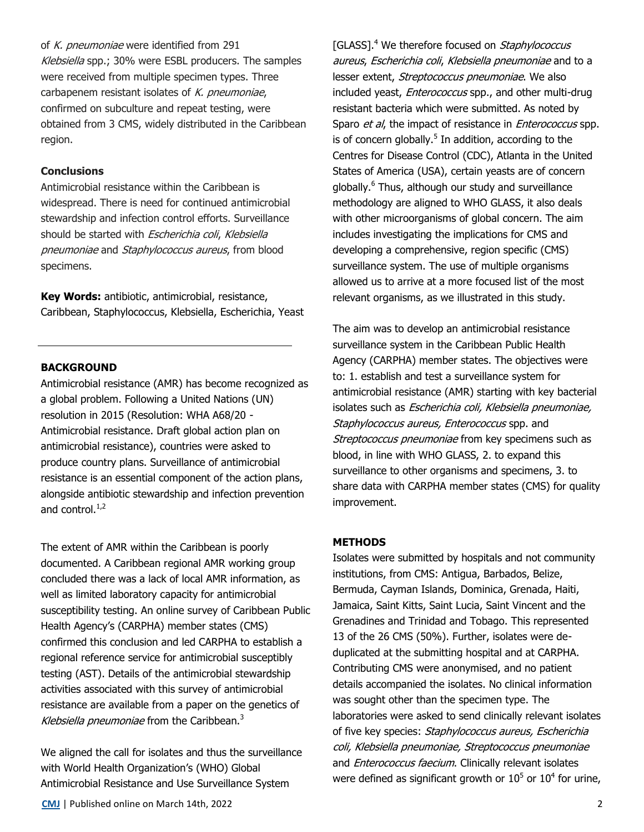of K. pneumoniae were identified from 291 Klebsiella spp.; 30% were ESBL producers. The samples were received from multiple specimen types. Three carbapenem resistant isolates of  $K$ . pneumoniae, confirmed on subculture and repeat testing, were obtained from 3 CMS, widely distributed in the Caribbean region.

#### **Conclusions**

Antimicrobial resistance within the Caribbean is widespread. There is need for continued antimicrobial stewardship and infection control efforts. Surveillance should be started with Escherichia coli, Klebsiella pneumoniae and Staphylococcus aureus, from blood specimens.

**Key Words:** antibiotic, antimicrobial, resistance, Caribbean, Staphylococcus, Klebsiella, Escherichia, Yeast

#### **BACKGROUND**

Antimicrobial resistance (AMR) has become recognized as a global problem. Following a United Nations (UN) resolution in 2015 (Resolution: WHA A68/20 - Antimicrobial resistance. Draft global action plan on antimicrobial resistance), countries were asked to produce country plans. Surveillance of antimicrobial resistance is an essential component of the action plans, alongside antibiotic stewardship and infection prevention and control. $^{1,2}$ 

The extent of AMR within the Caribbean is poorly documented. A Caribbean regional AMR working group concluded there was a lack of local AMR information, as well as limited laboratory capacity for antimicrobial susceptibility testing. An online survey of Caribbean Public Health Agency's (CARPHA) member states (CMS) confirmed this conclusion and led CARPHA to establish a regional reference service for antimicrobial susceptibly testing (AST). Details of the antimicrobial stewardship activities associated with this survey of antimicrobial resistance are available from a paper on the genetics of Klebsiella pneumoniae from the Caribbean.<sup>3</sup>

We aligned the call for isolates and thus the surveillance with World Health Organization's (WHO) Global Antimicrobial Resistance and Use Surveillance System

**[CMJ](http://www.caribbeanmedicaljournal.org)** | Published online on March 14th, 2022 2

[GLASS].<sup>4</sup> We therefore focused on *Staphylococcus* aureus, Escherichia coli, Klebsiella pneumoniae and to a lesser extent, Streptococcus pneumoniae. We also included yeast, Enterococcus spp., and other multi-drug resistant bacteria which were submitted. As noted by Sparo *et al*, the impact of resistance in *Enterococcus* spp. is of concern globally.<sup>5</sup> In addition, according to the Centres for Disease Control (CDC), Atlanta in the United States of America (USA), certain yeasts are of concern globally.<sup>6</sup> Thus, although our study and surveillance methodology are aligned to WHO GLASS, it also deals with other microorganisms of global concern. The aim includes investigating the implications for CMS and developing a comprehensive, region specific (CMS) surveillance system. The use of multiple organisms allowed us to arrive at a more focused list of the most relevant organisms, as we illustrated in this study.

The aim was to develop an antimicrobial resistance surveillance system in the Caribbean Public Health Agency (CARPHA) member states. The objectives were to: 1. establish and test a surveillance system for antimicrobial resistance (AMR) starting with key bacterial isolates such as Escherichia coli, Klebsiella pneumoniae, Staphylococcus aureus, Enterococcus spp. and Streptococcus pneumoniae from key specimens such as blood, in line with WHO GLASS, 2. to expand this surveillance to other organisms and specimens, 3. to share data with CARPHA member states (CMS) for quality improvement.

#### **METHODS**

Isolates were submitted by hospitals and not community institutions, from CMS: Antigua, Barbados, Belize, Bermuda, Cayman Islands, Dominica, Grenada, Haiti, Jamaica, Saint Kitts, Saint Lucia, Saint Vincent and the Grenadines and Trinidad and Tobago. This represented 13 of the 26 CMS (50%). Further, isolates were deduplicated at the submitting hospital and at CARPHA. Contributing CMS were anonymised, and no patient details accompanied the isolates. No clinical information was sought other than the specimen type. The laboratories were asked to send clinically relevant isolates of five key species: Staphylococcus aureus, Escherichia coli, Klebsiella pneumoniae, Streptococcus pneumoniae and *Enterococcus faecium*. Clinically relevant isolates were defined as significant growth or  $10^5$  or  $10^4$  for urine,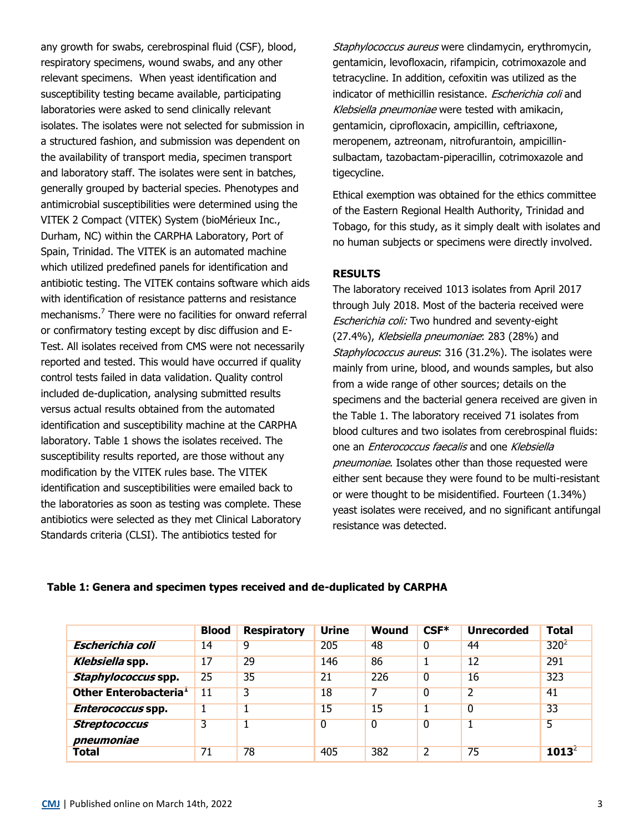any growth for swabs, cerebrospinal fluid (CSF), blood, respiratory specimens, wound swabs, and any other relevant specimens. When yeast identification and susceptibility testing became available, participating laboratories were asked to send clinically relevant isolates. The isolates were not selected for submission in a structured fashion, and submission was dependent on the availability of transport media, specimen transport and laboratory staff. The isolates were sent in batches, generally grouped by bacterial species. Phenotypes and antimicrobial susceptibilities were determined using the VITEK 2 Compact (VITEK) System (bioMérieux Inc., Durham, NC) within the CARPHA Laboratory, Port of Spain, Trinidad. The VITEK is an automated machine which utilized predefined panels for identification and antibiotic testing. The VITEK contains software which aids with identification of resistance patterns and resistance mechanisms.<sup>7</sup> There were no facilities for onward referral or confirmatory testing except by disc diffusion and E-Test. All isolates received from CMS were not necessarily reported and tested. This would have occurred if quality control tests failed in data validation. Quality control included de-duplication, analysing submitted results versus actual results obtained from the automated identification and susceptibility machine at the CARPHA laboratory. Table 1 shows the isolates received. The susceptibility results reported, are those without any modification by the VITEK rules base. The VITEK identification and susceptibilities were emailed back to the laboratories as soon as testing was complete. These antibiotics were selected as they met Clinical Laboratory Standards criteria (CLSI). The antibiotics tested for

Staphylococcus aureus were clindamycin, erythromycin, gentamicin, levofloxacin, rifampicin, cotrimoxazole and tetracycline. In addition, cefoxitin was utilized as the indicator of methicillin resistance. *Escherichia coli* and Klebsiella pneumoniae were tested with amikacin, gentamicin, ciprofloxacin, ampicillin, ceftriaxone, meropenem, aztreonam, nitrofurantoin, ampicillinsulbactam, tazobactam-piperacillin, cotrimoxazole and tigecycline.

Ethical exemption was obtained for the ethics committee of the Eastern Regional Health Authority, Trinidad and Tobago, for this study, as it simply dealt with isolates and no human subjects or specimens were directly involved.

### **RESULTS**

The laboratory received 1013 isolates from April 2017 through July 2018. Most of the bacteria received were Escherichia coli: Two hundred and seventy-eight (27.4%), Klebsiella pneumoniae: 283 (28%) and Staphylococcus aureus: 316 (31.2%). The isolates were mainly from urine, blood, and wounds samples, but also from a wide range of other sources; details on the specimens and the bacterial genera received are given in the Table 1. The laboratory received 71 isolates from blood cultures and two isolates from cerebrospinal fluids: one an Enterococcus faecalis and one Klebsiella pneumoniae. Isolates other than those requested were either sent because they were found to be multi-resistant or were thought to be misidentified. Fourteen (1.34%) yeast isolates were received, and no significant antifungal resistance was detected.

**Table 1: Genera and specimen types received and de-duplicated by CARPHA**

|                                    | <b>Blood</b> | <b>Respiratory</b> | <b>Urine</b>   | <b>Wound</b>   | $CSF*$ | <b>Unrecorded</b> | <b>Total</b>     |
|------------------------------------|--------------|--------------------|----------------|----------------|--------|-------------------|------------------|
| <b>Escherichia coli</b>            | 14           | 9                  | 205            | 48             | 0      | 44                | 320 <sup>2</sup> |
| Klebsiella spp.                    | 17           | 29                 | 146            | 86             |        | 12                | 291              |
| Staphylococcus spp.                | 25           | 35                 | 21             | 226            | 0      | 16                | 323              |
| Other Enterobacteria <sup>1</sup>  | $11\,$       | 3                  | 18             |                | 0      | $\overline{2}$    | 41               |
| Enterococcus spp.                  |              |                    | 15             | 15             |        | $\overline{0}$    | 33               |
| <b>Streptococcus</b><br>pneumoniae | 3            |                    | $\overline{0}$ | $\overline{0}$ | 0      |                   | 5                |
| Total                              | 71           | 78                 | 405            | 382            | 2      | 75                | $1013^2$         |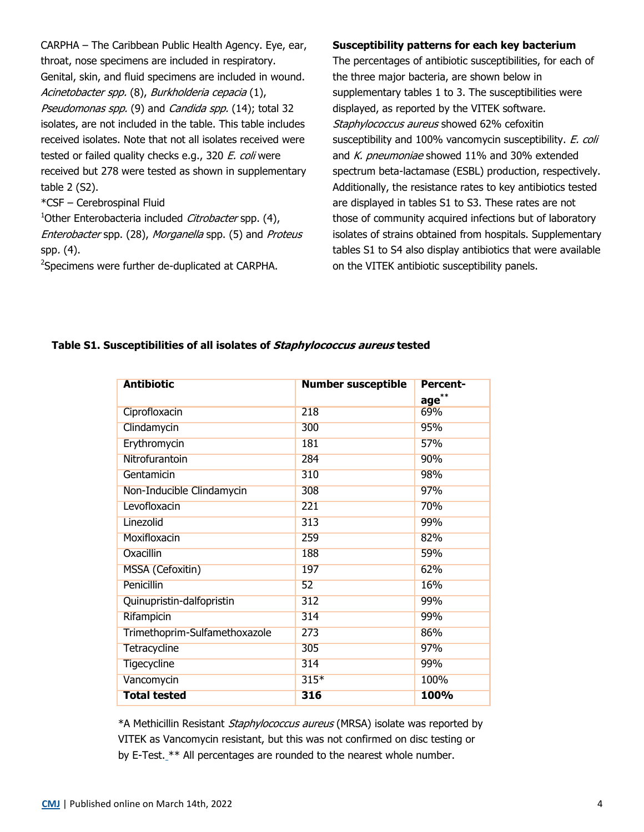CARPHA – The Caribbean Public Health Agency. Eye, ear, throat, nose specimens are included in respiratory. Genital, skin, and fluid specimens are included in wound. Acinetobacter spp. (8), Burkholderia cepacia (1), Pseudomonas spp. (9) and Candida spp. (14); total 32 isolates, are not included in the table. This table includes received isolates. Note that not all isolates received were tested or failed quality checks e.g., 320 E. coli were received but 278 were tested as shown in supplementary table 2 (S2).

#### \*CSF – Cerebrospinal Fluid

<sup>1</sup>Other Enterobacteria included *Citrobacter* spp. (4), Enterobacter spp. (28), Morganella spp. (5) and Proteus spp. (4).

<sup>2</sup>Specimens were further de-duplicated at CARPHA.

#### **Susceptibility patterns for each key bacterium**

The percentages of antibiotic susceptibilities, for each of the three major bacteria, are shown below in supplementary tables 1 to 3. The susceptibilities were displayed, as reported by the VITEK software. Staphylococcus aureus showed 62% cefoxitin susceptibility and 100% vancomycin susceptibility. E. coli and K. pneumoniae showed 11% and 30% extended spectrum beta-lactamase (ESBL) production, respectively. Additionally, the resistance rates to key antibiotics tested are displayed in tables S1 to S3. These rates are not those of community acquired infections but of laboratory isolates of strains obtained from hospitals. Supplementary tables S1 to S4 also display antibiotics that were available on the VITEK antibiotic susceptibility panels.

## **Antibiotic Number susceptible Percentage\*\*** Ciprofloxacin 218 69% Clindamycin 300 95% Erythromycin 181 57% Nitrofurantoin 284 90% Gentamicin 98% Non-Inducible Clindamycin 308 97% Levofloxacin 221 70% Linezolid 99% Moxifloxacin 259 82% Oxacillin 188 59% MSSA (Cefoxitin) 197 62% Penicillin 16% Quinupristin-dalfopristin 312 Rifampicin 314 99% Trimethoprim-Sulfamethoxazole 273 86% Tetracycline 305 97% Tigecycline 314 99% Vancomycin 315<sup>\*</sup> 315<sup>\*</sup> 100% **Total tested 316 100%**

### **Table S1. Susceptibilities of all isolates of Staphylococcus aureus tested**

\*A Methicillin Resistant Staphylococcus aureus (MRSA) isolate was reported by VITEK as Vancomycin resistant, but this was not confirmed on disc testing or by E-Test. \*\* All percentages are rounded to the nearest whole number.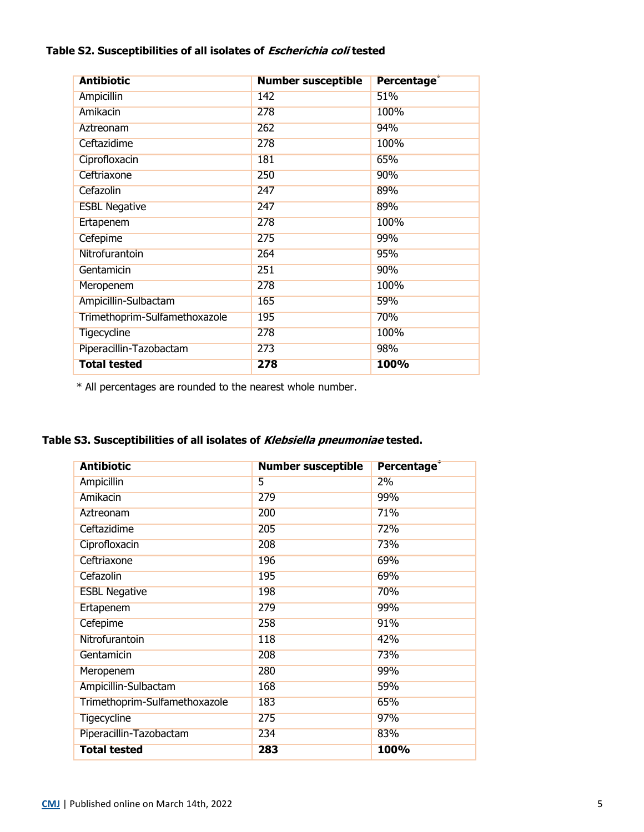### **Table S2. Susceptibilities of all isolates of Escherichia coli tested**

| <b>Antibiotic</b>             | <b>Number susceptible</b> | Percentage <sup>*</sup> |
|-------------------------------|---------------------------|-------------------------|
| <b>Ampicillin</b>             | 142                       | 51%                     |
| Amikacin                      | 278                       | 100%                    |
| Aztreonam                     | 262                       | 94%                     |
| Ceftazidime                   | 278                       | 100%                    |
| Ciprofloxacin                 | 181                       | 65%                     |
| Ceftriaxone                   | 250                       | 90%                     |
| Cefazolin                     | 247                       | 89%                     |
| <b>ESBL Negative</b>          | 247                       | 89%                     |
| Ertapenem                     | 278                       | 100%                    |
| Cefepime                      | 275                       | 99%                     |
| Nitrofurantoin                | 264                       | 95%                     |
| Gentamicin                    | 251                       | 90%                     |
| Meropenem                     | 278                       | 100%                    |
| Ampicillin-Sulbactam          | 165                       | 59%                     |
| Trimethoprim-Sulfamethoxazole | 195                       | 70%                     |
| <b>Tigecycline</b>            | 278                       | 100%                    |
| Piperacillin-Tazobactam       | 273                       | 98%                     |
| <b>Total tested</b>           | 278                       | 100%                    |

\* All percentages are rounded to the nearest whole number.

**Table S3. Susceptibilities of all isolates of Klebsiella pneumoniae tested.** 

| <b>Antibiotic</b>             | <b>Number susceptible</b> | Percentage <sup>®</sup> |
|-------------------------------|---------------------------|-------------------------|
| <b>Ampicillin</b>             | 5                         | 2%                      |
| Amikacin                      | 279                       | 99%                     |
| Aztreonam                     | 200                       | 71%                     |
| Ceftazidime                   | 205                       | 72%                     |
| Ciprofloxacin                 | 208                       | 73%                     |
| Ceftriaxone                   | 196                       | 69%                     |
| Cefazolin                     | 195                       | 69%                     |
| <b>ESBL Negative</b>          | 198                       | 70%                     |
| Ertapenem                     | 279                       | 99%                     |
| Cefepime                      | 258                       | 91%                     |
| Nitrofurantoin                | 118                       | 42%                     |
| Gentamicin                    | 208                       | 73%                     |
| Meropenem                     | 280                       | 99%                     |
| Ampicillin-Sulbactam          | 168                       | 59%                     |
| Trimethoprim-Sulfamethoxazole | 183                       | 65%                     |
| <b>Tigecycline</b>            | 275                       | 97%                     |
| Piperacillin-Tazobactam       | 234                       | 83%                     |
| <b>Total tested</b>           | 283                       | 100%                    |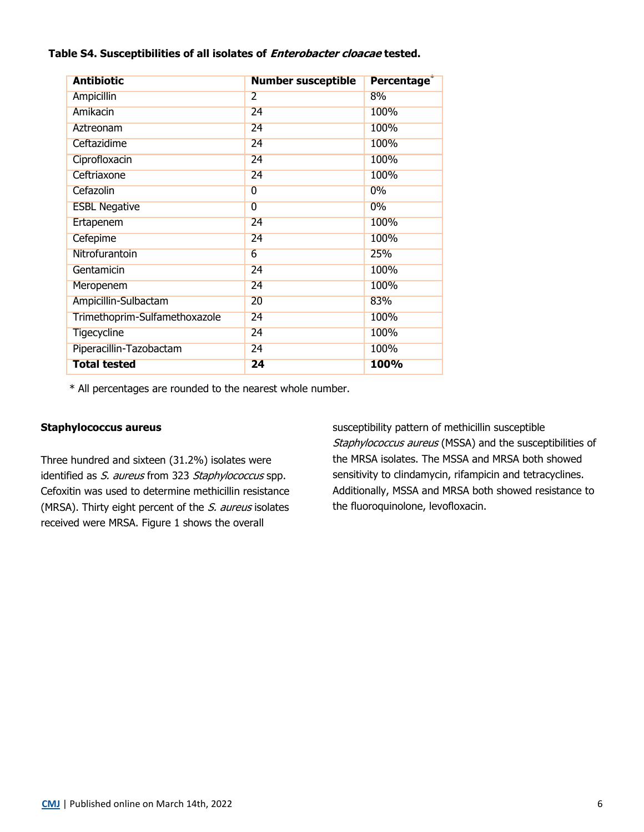### **Table S4. Susceptibilities of all isolates of Enterobacter cloacae tested.**

| <b>Antibiotic</b>             | <b>Number susceptible</b> | Percentage <sup>®</sup> |
|-------------------------------|---------------------------|-------------------------|
| <b>Ampicillin</b>             | $\overline{2}$            | 8%                      |
| Amikacin                      | 24                        | 100%                    |
| Aztreonam                     | 24                        | 100%                    |
| Ceftazidime                   | 24                        | 100%                    |
| Ciprofloxacin                 | 24                        | 100%                    |
| Ceftriaxone                   | 24                        | 100%                    |
| Cefazolin                     | 0                         | 0%                      |
| <b>ESBL Negative</b>          | $\overline{0}$            | 0%                      |
| Ertapenem                     | 24                        | 100%                    |
| Cefepime                      | 24                        | 100%                    |
| Nitrofurantoin                | 6                         | 25%                     |
| Gentamicin                    | 24                        | 100%                    |
| Meropenem                     | 24                        | 100%                    |
| Ampicillin-Sulbactam          | 20                        | 83%                     |
| Trimethoprim-Sulfamethoxazole | 24                        | 100%                    |
| <b>Tigecycline</b>            | 24                        | 100%                    |
| Piperacillin-Tazobactam       | 24                        | 100%                    |
| <b>Total tested</b>           | 24                        | 100%                    |

\* All percentages are rounded to the nearest whole number.

### **Staphylococcus aureus**

Three hundred and sixteen (31.2%) isolates were identified as S. aureus from 323 Staphylococcus spp. Cefoxitin was used to determine methicillin resistance (MRSA). Thirty eight percent of the S. aureus isolates received were MRSA. Figure 1 shows the overall

susceptibility pattern of methicillin susceptible Staphylococcus aureus (MSSA) and the susceptibilities of the MRSA isolates. The MSSA and MRSA both showed sensitivity to clindamycin, rifampicin and tetracyclines. Additionally, MSSA and MRSA both showed resistance to the fluoroquinolone, levofloxacin.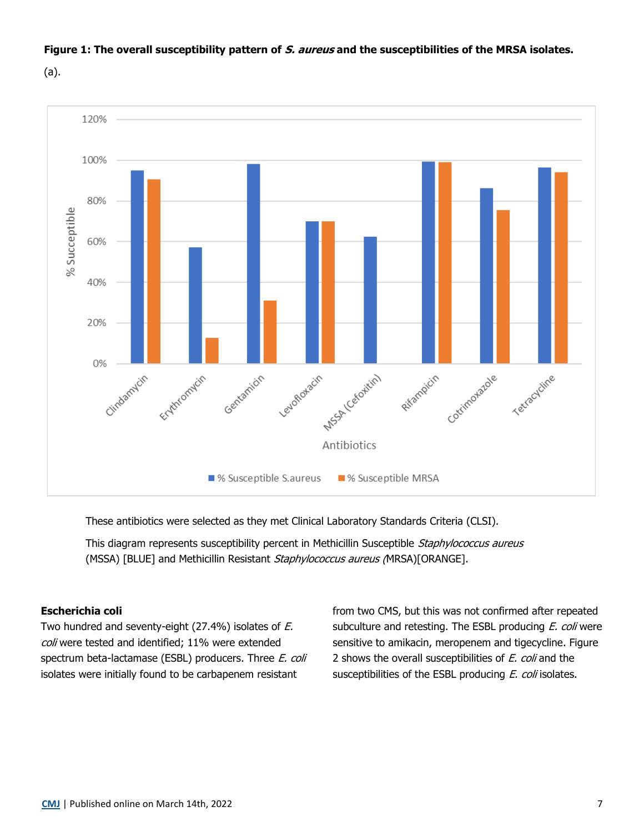

### **Figure 1: The overall susceptibility pattern of S. aureus and the susceptibilities of the MRSA isolates.**

(a).

These antibiotics were selected as they met Clinical Laboratory Standards Criteria (CLSI).

This diagram represents susceptibility percent in Methicillin Susceptible Staphylococcus aureus (MSSA) [BLUE] and Methicillin Resistant Staphylococcus aureus (MRSA)[ORANGE].

### **Escherichia coli**

Two hundred and seventy-eight (27.4%) isolates of E. coli were tested and identified; 11% were extended spectrum beta-lactamase (ESBL) producers. Three E. coli isolates were initially found to be carbapenem resistant

from two CMS, but this was not confirmed after repeated subculture and retesting. The ESBL producing E. coli were sensitive to amikacin, meropenem and tigecycline. Figure 2 shows the overall susceptibilities of E. coli and the susceptibilities of the ESBL producing E. coli isolates.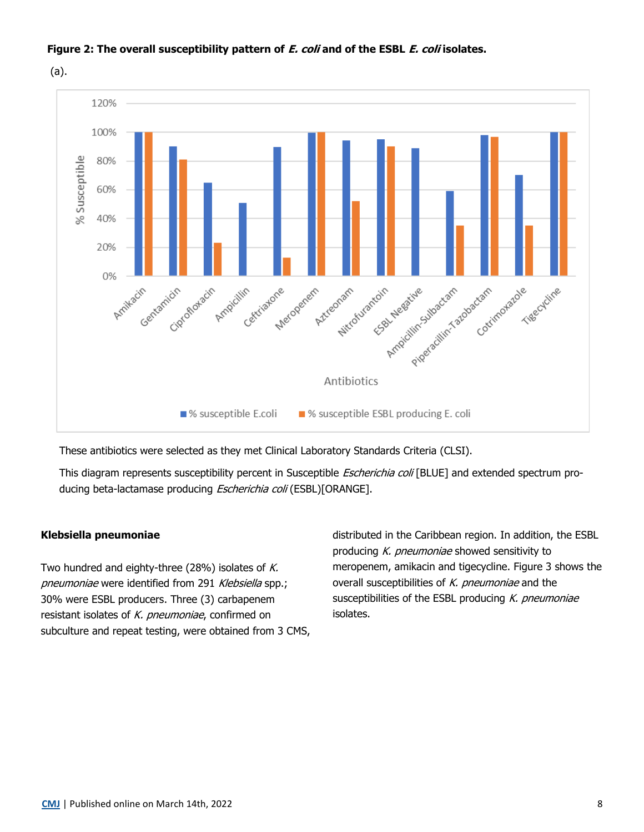

### **Figure 2: The overall susceptibility pattern of E. coli and of the ESBL E. coli isolates.**

(a).

These antibiotics were selected as they met Clinical Laboratory Standards Criteria (CLSI).

This diagram represents susceptibility percent in Susceptible *Escherichia coli* [BLUE] and extended spectrum producing beta-lactamase producing Escherichia coli (ESBL)[ORANGE].

### **Klebsiella pneumoniae**

Two hundred and eighty-three (28%) isolates of  $K$ . pneumoniae were identified from 291 Klebsiella spp.; 30% were ESBL producers. Three (3) carbapenem resistant isolates of K. pneumoniae, confirmed on subculture and repeat testing, were obtained from 3 CMS, distributed in the Caribbean region. In addition, the ESBL producing K. pneumoniae showed sensitivity to meropenem, amikacin and tigecycline. Figure 3 shows the overall susceptibilities of  $K$ . pneumoniae and the susceptibilities of the ESBL producing  $K$ . pneumoniae isolates.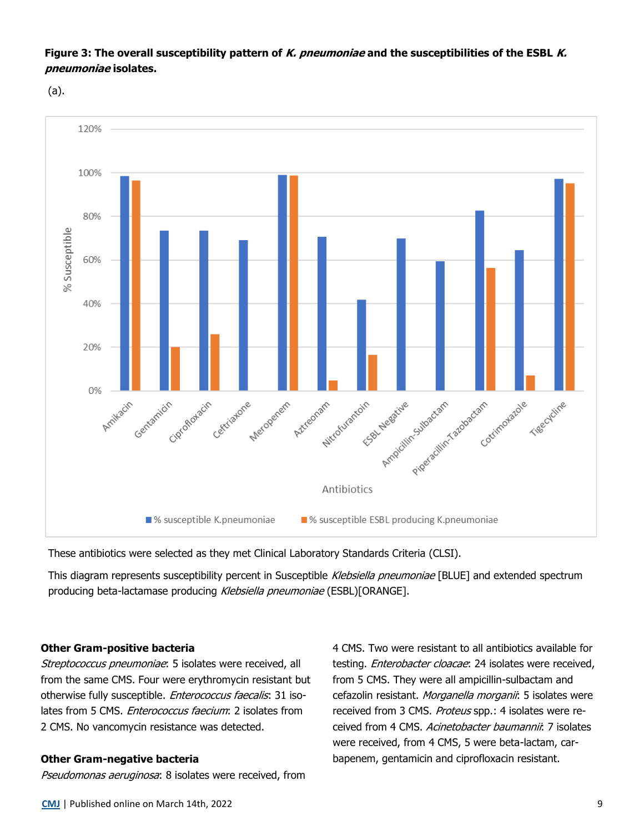### **Figure 3: The overall susceptibility pattern of K. pneumoniae and the susceptibilities of the ESBL K. pneumoniae isolates.**

(a).



These antibiotics were selected as they met Clinical Laboratory Standards Criteria (CLSI).

This diagram represents susceptibility percent in Susceptible Klebsiella pneumoniae [BLUE] and extended spectrum producing beta-lactamase producing Klebsiella pneumoniae (ESBL)[ORANGE].

#### **Other Gram-positive bacteria**

Streptococcus pneumoniae: 5 isolates were received, all from the same CMS. Four were erythromycin resistant but otherwise fully susceptible. *Enterococcus faecalis*: 31 isolates from 5 CMS. *Enterococcus faecium*: 2 isolates from 2 CMS. No vancomycin resistance was detected.

#### **Other Gram-negative bacteria**

Pseudomonas aeruginosa: 8 isolates were received, from

4 CMS. Two were resistant to all antibiotics available for testing. Enterobacter cloacae: 24 isolates were received, from 5 CMS. They were all ampicillin-sulbactam and cefazolin resistant. Morganella morganii: 5 isolates were received from 3 CMS. Proteus spp.: 4 isolates were received from 4 CMS. Acinetobacter baumannii: 7 isolates were received, from 4 CMS, 5 were beta-lactam, carbapenem, gentamicin and ciprofloxacin resistant.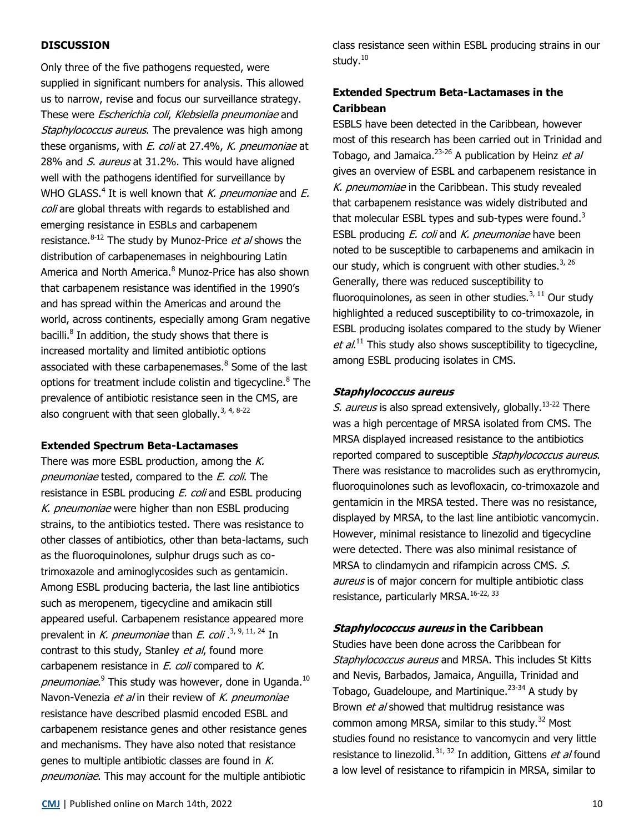### **DISCUSSION**

Only three of the five pathogens requested, were supplied in significant numbers for analysis. This allowed us to narrow, revise and focus our surveillance strategy. These were Escherichia coli, Klebsiella pneumoniae and Staphylococcus aureus. The prevalence was high among these organisms, with *E. coli* at 27.4%, *K. pneumoniae* at 28% and S. aureus at 31.2%. This would have aligned well with the pathogens identified for surveillance by WHO GLASS.<sup>4</sup> It is well known that K. pneumoniae and E. coli are global threats with regards to established and emerging resistance in ESBLs and carbapenem resistance.<sup>8-12</sup> The study by Munoz-Price *et al* shows the distribution of carbapenemases in neighbouring Latin America and North America.<sup>8</sup> Munoz-Price has also shown that carbapenem resistance was identified in the 1990's and has spread within the Americas and around the world, across continents, especially among Gram negative bacilli.<sup>8</sup> In addition, the study shows that there is increased mortality and limited antibiotic options associated with these carbapenemases.<sup>8</sup> Some of the last options for treatment include colistin and tigecycline.<sup>8</sup> The prevalence of antibiotic resistance seen in the CMS, are also congruent with that seen globally.<sup>3, 4, 8-22</sup>

#### **Extended Spectrum Beta-Lactamases**

There was more ESBL production, among the  $K$ . pneumoniae tested, compared to the E. coli. The resistance in ESBL producing *E. coli* and ESBL producing K. pneumoniae were higher than non ESBL producing strains, to the antibiotics tested. There was resistance to other classes of antibiotics, other than beta-lactams, such as the fluoroquinolones, sulphur drugs such as cotrimoxazole and aminoglycosides such as gentamicin. Among ESBL producing bacteria, the last line antibiotics such as meropenem, tigecycline and amikacin still appeared useful. Carbapenem resistance appeared more prevalent in K. pneumoniae than E. coli.<sup>3, 9, 11, 24</sup> In contrast to this study, Stanley et al, found more carbapenem resistance in  $E.$  coli compared to  $K.$ pneumoniae.<sup>9</sup> This study was however, done in Uganda.<sup>10</sup> Navon-Venezia et al in their review of K. pneumoniae resistance have described plasmid encoded ESBL and carbapenem resistance genes and other resistance genes and mechanisms. They have also noted that resistance genes to multiple antibiotic classes are found in  $K$ . pneumoniae. This may account for the multiple antibiotic

class resistance seen within ESBL producing strains in our study.<sup>10</sup>

### **Extended Spectrum Beta-Lactamases in the Caribbean**

ESBLS have been detected in the Caribbean, however most of this research has been carried out in Trinidad and Tobago, and Jamaica.<sup>23-26</sup> A publication by Heinz et al gives an overview of ESBL and carbapenem resistance in K. pneumomiae in the Caribbean. This study revealed that carbapenem resistance was widely distributed and that molecular ESBL types and sub-types were found.<sup>3</sup> ESBL producing  $E$ . coli and  $K$ . pneumoniae have been noted to be susceptible to carbapenems and amikacin in our study, which is congruent with other studies. $3,26$ Generally, there was reduced susceptibility to fluoroquinolones, as seen in other studies. $^{3, 11}$  Our study highlighted a reduced susceptibility to co-trimoxazole, in ESBL producing isolates compared to the study by Wiener  $et al.<sup>11</sup>$  This study also shows susceptibility to tigecycline, among ESBL producing isolates in CMS.

#### **Staphylococcus aureus**

*S. aureus* is also spread extensively, globally.<sup>13-22</sup> There was a high percentage of MRSA isolated from CMS. The MRSA displayed increased resistance to the antibiotics reported compared to susceptible Staphylococcus aureus. There was resistance to macrolides such as erythromycin, fluoroquinolones such as levofloxacin, co-trimoxazole and gentamicin in the MRSA tested. There was no resistance, displayed by MRSA, to the last line antibiotic vancomycin. However, minimal resistance to linezolid and tigecycline were detected. There was also minimal resistance of MRSA to clindamycin and rifampicin across CMS. S. aureus is of major concern for multiple antibiotic class resistance, particularly MRSA.<sup>16-22, 33</sup>

#### **Staphylococcus aureus in the Caribbean**

Studies have been done across the Caribbean for Staphylococcus aureus and MRSA. This includes St Kitts and Nevis, Barbados, Jamaica, Anguilla, Trinidad and Tobago, Guadeloupe, and Martinique.<sup>23-34</sup> A study by Brown *et al* showed that multidrug resistance was common among MRSA, similar to this study.<sup>32</sup> Most studies found no resistance to vancomycin and very little resistance to linezolid.<sup>31, 32</sup> In addition, Gittens *et al* found a low level of resistance to rifampicin in MRSA, similar to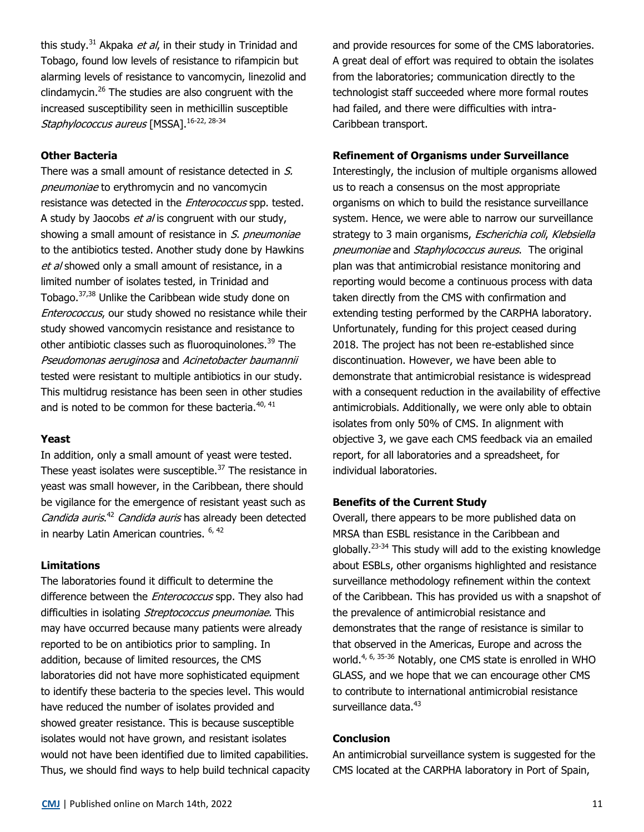this study.<sup>31</sup> Akpaka *et al*, in their study in Trinidad and Tobago, found low levels of resistance to rifampicin but alarming levels of resistance to vancomycin, linezolid and clindamycin.<sup>26</sup> The studies are also congruent with the increased susceptibility seen in methicillin susceptible Staphylococcus aureus [MSSA].<sup>16-22, 28-34</sup>

### **Other Bacteria**

There was a small amount of resistance detected in S. pneumoniae to erythromycin and no vancomycin resistance was detected in the *Enterococcus* spp. tested. A study by Jaocobs et al is congruent with our study, showing a small amount of resistance in S. pneumoniae to the antibiotics tested. Another study done by Hawkins et al showed only a small amount of resistance, in a limited number of isolates tested, in Trinidad and Tobago.37,38 Unlike the Caribbean wide study done on Enterococcus, our study showed no resistance while their study showed vancomycin resistance and resistance to other antibiotic classes such as fluoroquinolones.<sup>39</sup> The Pseudomonas aeruginosa and Acinetobacter baumannii tested were resistant to multiple antibiotics in our study. This multidrug resistance has been seen in other studies and is noted to be common for these bacteria.  $40, 41$ 

### **Yeast**

In addition, only a small amount of yeast were tested. These yeast isolates were susceptible. $37$  The resistance in yeast was small however, in the Caribbean, there should be vigilance for the emergence of resistant yeast such as Candida auris.<sup>42</sup> Candida auris has already been detected in nearby Latin American countries.  $6, 42$ 

#### **Limitations**

The laboratories found it difficult to determine the difference between the *Enterococcus* spp. They also had difficulties in isolating Streptococcus pneumoniae. This may have occurred because many patients were already reported to be on antibiotics prior to sampling. In addition, because of limited resources, the CMS laboratories did not have more sophisticated equipment to identify these bacteria to the species level. This would have reduced the number of isolates provided and showed greater resistance. This is because susceptible isolates would not have grown, and resistant isolates would not have been identified due to limited capabilities. Thus, we should find ways to help build technical capacity and provide resources for some of the CMS laboratories. A great deal of effort was required to obtain the isolates from the laboratories; communication directly to the technologist staff succeeded where more formal routes had failed, and there were difficulties with intra-Caribbean transport.

#### **Refinement of Organisms under Surveillance**

Interestingly, the inclusion of multiple organisms allowed us to reach a consensus on the most appropriate organisms on which to build the resistance surveillance system. Hence, we were able to narrow our surveillance strategy to 3 main organisms, Escherichia coli, Klebsiella pneumoniae and Staphylococcus aureus. The original plan was that antimicrobial resistance monitoring and reporting would become a continuous process with data taken directly from the CMS with confirmation and extending testing performed by the CARPHA laboratory. Unfortunately, funding for this project ceased during 2018. The project has not been re-established since discontinuation. However, we have been able to demonstrate that antimicrobial resistance is widespread with a consequent reduction in the availability of effective antimicrobials. Additionally, we were only able to obtain isolates from only 50% of CMS. In alignment with objective 3, we gave each CMS feedback via an emailed report, for all laboratories and a spreadsheet, for individual laboratories.

#### **Benefits of the Current Study**

Overall, there appears to be more published data on MRSA than ESBL resistance in the Caribbean and globally.<sup>23</sup>-<sup>34</sup> This study will add to the existing knowledge about ESBLs, other organisms highlighted and resistance surveillance methodology refinement within the context of the Caribbean. This has provided us with a snapshot of the prevalence of antimicrobial resistance and demonstrates that the range of resistance is similar to that observed in the Americas, Europe and across the world.<sup>4, 6, 35-36</sup> Notably, one CMS state is enrolled in WHO GLASS, and we hope that we can encourage other CMS to contribute to international antimicrobial resistance surveillance data.<sup>43</sup>

#### **Conclusion**

An antimicrobial surveillance system is suggested for the CMS located at the CARPHA laboratory in Port of Spain,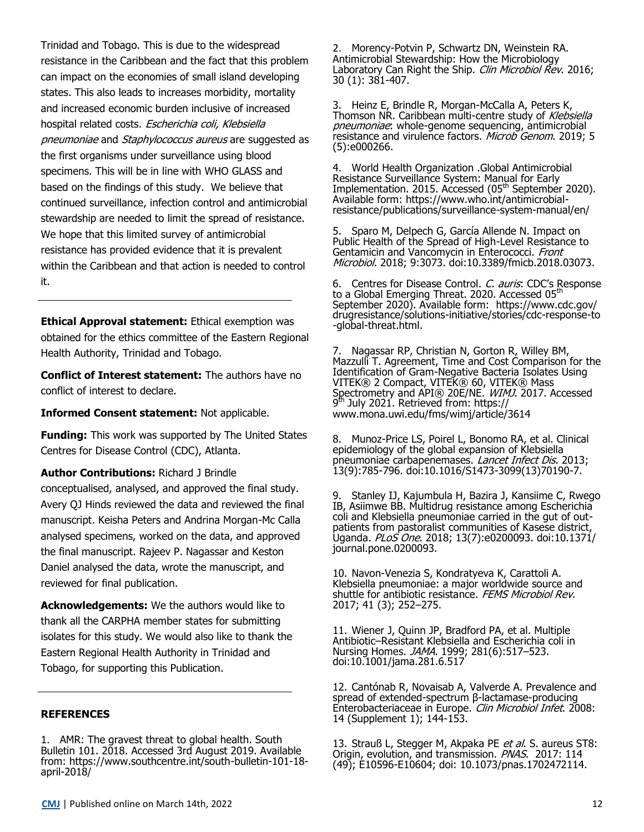Trinidad and Tobago. This is due to the widespread resistance in the Caribbean and the fact that this problem can impact on the economies of small island developing states. This also leads to increases morbidity, mortality and increased economic burden inclusive of increased hospital related costs. Escherichia coli, Klebsiella pneumoniae and Staphylococcus aureus are suggested as the first organisms under surveillance using blood specimens. This will be in line with WHO GLASS and based on the findings of this study. We believe that continued surveillance, infection control and antimicrobial stewardship are needed to limit the spread of resistance. We hope that this limited survey of antimicrobial resistance has provided evidence that it is prevalent within the Caribbean and that action is needed to control it.

**Ethical Approval statement:** Ethical exemption was obtained for the ethics committee of the Eastern Regional Health Authority, Trinidad and Tobago.

**Conflict of Interest statement:** The authors have no conflict of interest to declare.

**Informed Consent statement:** Not applicable.

**Funding:** This work was supported by The United States Centres for Disease Control (CDC), Atlanta.

**Author Contributions:** Richard J Brindle

conceptualised, analysed, and approved the final study. Avery QJ Hinds reviewed the data and reviewed the final manuscript. Keisha Peters and Andrina Morgan-Mc Calla analysed specimens, worked on the data, and approved the final manuscript. Rajeev P. Nagassar and Keston Daniel analysed the data, wrote the manuscript, and reviewed for final publication.

**Acknowledgements:** We the authors would like to thank all the CARPHA member states for submitting isolates for this study. We would also like to thank the Eastern Regional Health Authority in Trinidad and Tobago, for supporting this Publication.

#### **REFERENCES**

1. AMR: The gravest threat to global health. South Bulletin 101. 2018. Accessed 3rd August 2019. Available from: https://www.southcentre.int/south-bulletin-101-18 april-2018/

2. Morency-Potvin P, Schwartz DN, Weinstein RA. Antimicrobial Stewardship: How the Microbiology Laboratory Can Right the Ship. Clin Microbiol Rev. 2016; 30 (1): 381-407.

3. Heinz E, Brindle R, Morgan-McCalla A, Peters K, Thomson NR. Caribbean multi-centre study of Klebsiella pneumoniae: whole-genome sequencing, antimicrobial resistance and virulence factors. Microb Genom. 2019; 5 (5):e000266.

4. World Health Organization .Global Antimicrobial Resistance Surveillance System: Manual for Early Implementation. 2015. Accessed (05<sup>th</sup> September 2020). Available form: https://www.who.int/antimicrobialresistance/publications/surveillance-system-manual/en/

5. Sparo M, Delpech G, García Allende N. Impact on Public Health of the Spread of High-Level Resistance to Gentamicin and Vancomycin in Enterococci. Front Microbiol. 2018; 9:3073. doi:10.3389/fmicb.2018.03073.

6. Centres for Disease Control. C. auris: CDC's Response to a Global Emerging Threat. 2020. Accessed 05<sup>th</sup> September 2020). Available form: https://www.cdc.gov/ drugresistance/solutions-initiative/stories/cdc-response-to -global-threat.html.

7. Nagassar RP, Christian N, Gorton R, Willey BM, Mazzulli T. Agreement, Time and Cost Comparison for the Identification of Gram-Negative Bacteria Isolates Using VITEK® 2 Compact, VITEK® 60, VITEK® Mass Spectrometry and API® 20E/NE. WIMJ. 2017. Accessed 9<sup>th</sup> July 2021. Retrieved from: https:// www.mona.uwi.edu/fms/wimj/article/3614

8. Munoz-Price LS, Poirel L, Bonomo RA, et al. Clinical epidemiology of the global expansion of Klebsiella pneumoniae carbapenemases. Lancet Infect Dis. 2013; 13(9):785-796. doi:10.1016/S1473-3099(13)70190-7.

9. Stanley IJ, Kajumbula H, Bazira J, Kansiime C, Rwego IB, Asiimwe BB. Multidrug resistance among Escherichia coli and Klebsiella pneumoniae carried in the gut of outpatients from pastoralist communities of Kasese district, Uganda. PLoS One. 2018; 13(7):e0200093. doi:10.1371/ journal.pone.0200093.

10. Navon-Venezia S, Kondratyeva K, Carattoli A. Klebsiella pneumoniae: a major worldwide source and shuttle for antibiotic resistance. FEMS Microbiol Rev. 2017; 41 (3); 252–275.

11. Wiener J, Quinn JP, Bradford PA, et al. Multiple Antibiotic–Resistant Klebsiella and Escherichia coli in Nursing Homes. JAMA. 1999; 281(6):517–523. doi:10.1001/jama.281.6.517

12. Cantónab R, Novaisab A, Valverde A. Prevalence and spread of extended-spectrum β-lactamase-producing Enterobacteriaceae in Europe. Clin Microbiol Infet. 2008: 14 (Supplement 1); 144-153.

13. Strauß L, Stegger M, Akpaka PE et al. S. aureus ST8: Origin, evolution, and transmission. PNAS. 2017: 114 (49); E10596-E10604; doi: 10.1073/pnas.1702472114.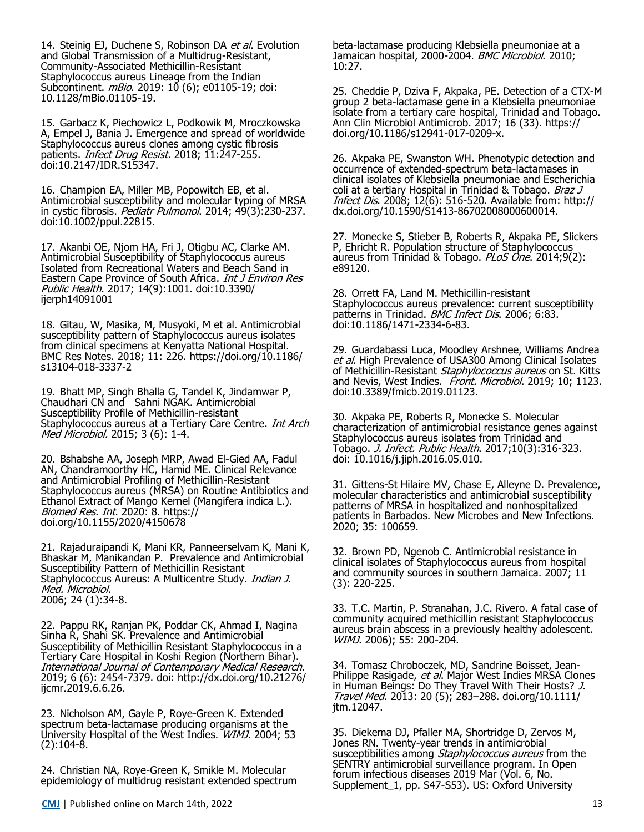14. Steinig EJ, Duchene S, Robinson DA et al. Evolution and Global Transmission of a Multidrug-Resistant, Community-Associated Methicillin-Resistant Staphylococcus aureus Lineage from the Indian Subcontinent. *mBio*. 2019: 10 (6); e01105-19; doi: 10.1128/mBio.01105-19.

15. Garbacz K, Piechowicz L, Podkowik M, Mroczkowska A, Empel J, Bania J. Emergence and spread of worldwide Staphylococcus aureus clones among cystic fibrosis patients. *Infect Drug Resist*. 2018; 11:247-255. doi:10.2147/IDR.S15347.

16. Champion EA, Miller MB, Popowitch EB, et al. Antimicrobial susceptibility and molecular typing of MRSA in cystic fibrosis. *Pediatr Pulmonol*. 2014; 49(3):230-237. doi:10.1002/ppul.22815.

17. Akanbi OE, Njom HA, Fri J, Otigbu AC, Clarke AM. Antimicrobial Susceptibility of Staphylococcus aureus Isolated from Recreational Waters and Beach Sand in Eastern Cape Province of South Africa. Int J Environ Res Public Health. 2017; 14(9):1001. doi:10.3390/ ijerph14091001

18. Gitau, W, Masika, M, Musyoki, M et al. Antimicrobial susceptibility pattern of Staphylococcus aureus isolates from clinical specimens at Kenyatta National Hospital. BMC Res Notes. 2018; 11: 226. https://doi.org/10.1186/ s13104-018-3337-2

19. Bhatt MP, Singh Bhalla G, Tandel K, Jindamwar P, Chaudhari CN and Sahni NGAK. Antimicrobial Susceptibility Profile of Methicillin-resistant Staphylococcus aureus at a Tertiary Care Centre. Int Arch Med Microbiol. 2015; 3 (6): 1-4.

20. Bshabshe AA, Joseph MRP, Awad El-Gied AA, Fadul AN, Chandramoorthy HC, Hamid ME. Clinical Relevance and Antimicrobial Profiling of Methicillin-Resistant Staphylococcus aureus (MRSA) on Routine Antibiotics and Ethanol Extract of Mango Kernel (Mangifera indica L.). Biomed Res. Int. 2020: 8. https:// doi.org/10.1155/2020/4150678

21. Rajaduraipandi K, Mani KR, Panneerselvam K, Mani K, Bhaskar M, Manikandan P. Prevalence and Antimicrobial Susceptibility Pattern of Methicillin Resistant Staphylococcus Aureus: A Multicentre Study. *Indian J.* Med. Microbiol. 2006; 24 (1):34-8.

22. Pappu RK, Ranjan PK, Poddar CK, Ahmad I, Nagina Sinha R, Shahi SK. Prevalence and Antimicrobial Susceptibility of Methicillin Resistant Staphylococcus in a Tertiary Care Hospital in Koshi Region (Northern Bihar). International Journal of Contemporary Medical Research. 2019; 6 (6): 2454-7379. doi: [http://dx.doi.org/10.21276/](http://dx.doi.org/10.21276/ijcmr.2019.6.6.26) [ijcmr.2019.6.6.26.](http://dx.doi.org/10.21276/ijcmr.2019.6.6.26)

23. Nicholson AM, Gayle P, Roye-Green K. Extended spectrum beta-lactamase producing organisms at the University Hospital of the West Indies. WIMJ. 2004; 53 (2):104-8.

24. Christian NA, Roye-Green K, Smikle M. Molecular epidemiology of multidrug resistant extended spectrum beta-lactamase producing Klebsiella pneumoniae at a Jamaican hospital, 2000-2004. BMC Microbiol. 2010; 10:27.

25. Cheddie P, Dziva F, Akpaka, PE. Detection of a CTX-M group 2 beta-lactamase gene in a Klebsiella pneumoniae isolate from a tertiary care hospital, Trinidad and Tobago. Ann Clin Microbiol Antimicrob. 2017; 16 (33). https:// doi.org/10.1186/s12941-017-0209-x.

26. Akpaka PE, Swanston WH. Phenotypic detection and occurrence of extended-spectrum beta-lactamases in clinical isolates of Klebsiella pneumoniae and Escherichia coli at a tertiary Hospital in Trinidad & Tobago. Braz J Infect Dis. 2008; 12(6): 516-520. Available from: http:// dx.doi.org/10.1590/S1413-86702008000600014.

27. Monecke S, Stieber B, Roberts R, Akpaka PE, Slickers P, Ehricht R. Population structure of Staphylococcus aureus from Trinidad & Tobago. PLoS One. 2014;9(2): e89120.

28. Orrett FA, Land M. Methicillin-resistant Staphylococcus aureus prevalence: current susceptibility patterns in Trinidad. BMC Infect Dis. 2006; 6:83. doi:10.1186/1471-2334-6-83.

29. Guardabassi Luca, Moodley Arshnee, Williams Andrea et al. High Prevalence of USA300 Among Clinical Isolates of Methicillin-Resistant *Staphylococcus aureus* on St. Kitts and Nevis, West Indies. *Front. Microbiol*. 2019; 10; 1123. doi:10.3389/fmicb.2019.01123.

30. Akpaka PE, Roberts R, Monecke S. Molecular characterization of antimicrobial resistance genes against Staphylococcus aureus isolates from Trinidad and Tobago. J. Infect. Public Health. 2017;10(3):316-323. doi: 10.1016/j.jiph.2016.05.010.

31. Gittens-St Hilaire MV, Chase E, Alleyne D. Prevalence, molecular characteristics and antimicrobial susceptibility patterns of MRSA in hospitalized and nonhospitalized patients in Barbados. New Microbes and New Infections. 2020; 35: 100659.

32. Brown PD, Ngenob C. Antimicrobial resistance in clinical isolates of Staphylococcus aureus from hospital and community sources in southern Jamaica. 2007; 11 (3): 220-225.

33. T.C. Martin, P. Stranahan, J.C. Rivero. A fatal case of community acquired methicillin resistant Staphylococcus aureus brain abscess in a previously healthy adolescent. WIMJ. 2006); 55: 200-204.

34. Tomasz Chroboczek, MD, Sandrine Boisset, Jean‐ Philippe Rasigade, et al. Major West Indies MRSA Clones in Human Beings: Do They Travel With Their Hosts? J. Travel Med. 2013: 20 (5); 283–288. doi.org/10.1111/ jtm.12047.

35. Diekema DJ, Pfaller MA, Shortridge D, Zervos M, Jones RN. Twenty-year trends in antimicrobial susceptibilities among Staphylococcus aureus from the SENTRY antimicrobial surveillance program. In Open forum infectious diseases 2019 Mar (Vol. 6, No. Supplement\_1, pp. S47-S53). US: Oxford University